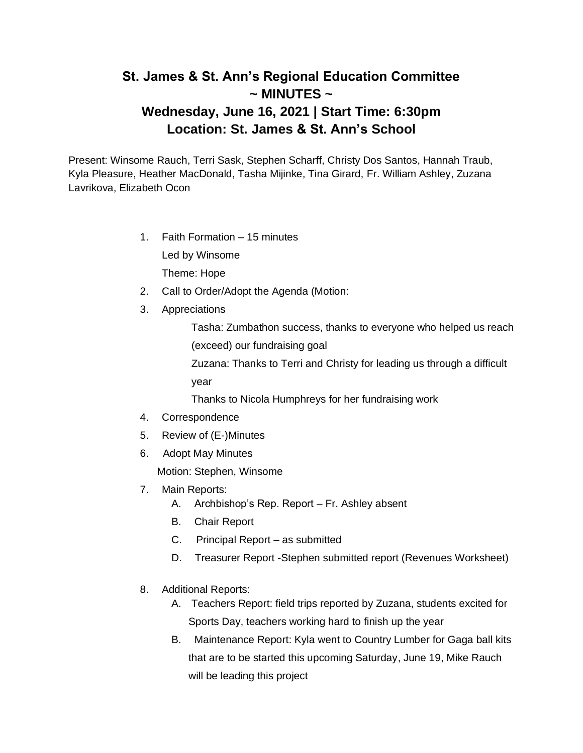## **St. James & St. Ann's Regional Education Committee ~ MINUTES ~ Wednesday, June 16, 2021 | Start Time: 6:30pm Location: St. James & St. Ann's School**

Present: Winsome Rauch, Terri Sask, Stephen Scharff, Christy Dos Santos, Hannah Traub, Kyla Pleasure, Heather MacDonald, Tasha Mijinke, Tina Girard, Fr. William Ashley, Zuzana Lavrikova, Elizabeth Ocon

1. Faith Formation – 15 minutes

Led by Winsome

Theme: Hope

- 2. Call to Order/Adopt the Agenda (Motion:
- 3. Appreciations

Tasha: Zumbathon success, thanks to everyone who helped us reach (exceed) our fundraising goal

Zuzana: Thanks to Terri and Christy for leading us through a difficult year

Thanks to Nicola Humphreys for her fundraising work

- 4. Correspondence
- 5. Review of (E-)Minutes
- 6. Adopt May Minutes

Motion: Stephen, Winsome

- 7. Main Reports:
	- A. Archbishop's Rep. Report Fr. Ashley absent
	- B. Chair Report
	- C. Principal Report as submitted
	- D. Treasurer Report -Stephen submitted report (Revenues Worksheet)
- 8. Additional Reports:
	- A. Teachers Report: field trips reported by Zuzana, students excited for Sports Day, teachers working hard to finish up the year
	- B. Maintenance Report: Kyla went to Country Lumber for Gaga ball kits that are to be started this upcoming Saturday, June 19, Mike Rauch will be leading this project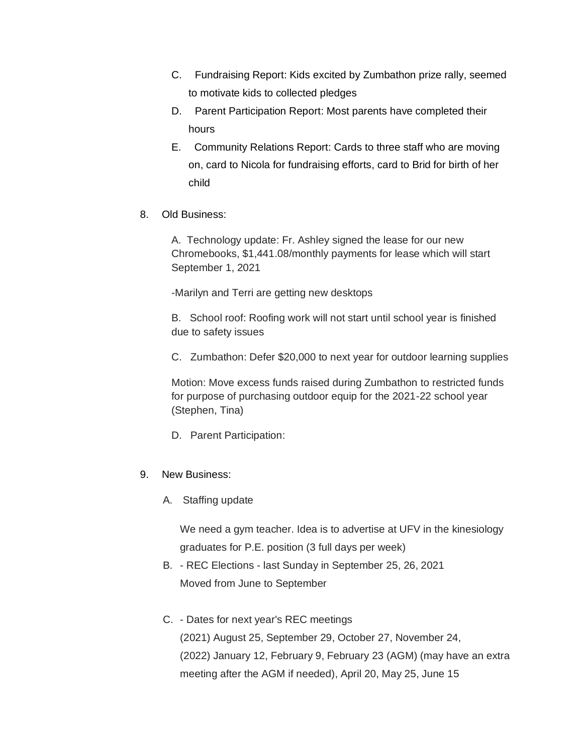- C. Fundraising Report: Kids excited by Zumbathon prize rally, seemed to motivate kids to collected pledges
- D. Parent Participation Report: Most parents have completed their hours
- E. Community Relations Report: Cards to three staff who are moving on, card to Nicola for fundraising efforts, card to Brid for birth of her child
- 8. Old Business:

A. Technology update: Fr. Ashley signed the lease for our new Chromebooks, \$1,441.08/monthly payments for lease which will start September 1, 2021

-Marilyn and Terri are getting new desktops

B. School roof: Roofing work will not start until school year is finished due to safety issues

C. Zumbathon: Defer \$20,000 to next year for outdoor learning supplies

Motion: Move excess funds raised during Zumbathon to restricted funds for purpose of purchasing outdoor equip for the 2021-22 school year (Stephen, Tina)

D. Parent Participation:

## 9. New Business:

A. Staffing update

We need a gym teacher. Idea is to advertise at UFV in the kinesiology graduates for P.E. position (3 full days per week)

- B. REC Elections last Sunday in September 25, 26, 2021 Moved from June to September
- C. Dates for next year's REC meetings (2021) August 25, September 29, October 27, November 24,

(2022) January 12, February 9, February 23 (AGM) (may have an extra meeting after the AGM if needed), April 20, May 25, June 15